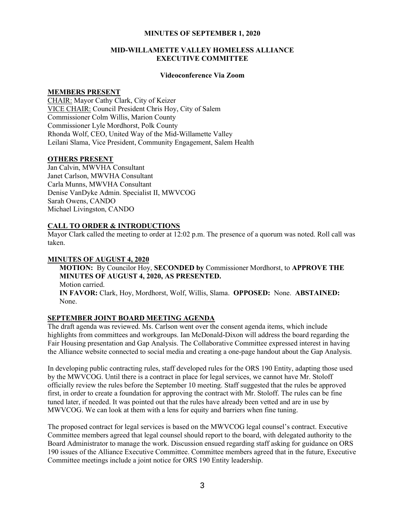#### MINUTES OF SEPTEMBER 1, 2020

### MID-WILLAMETTE VALLEY HOMELESS ALLIANCE EXECUTIVE COMMITTEE

#### Videoconference Via Zoom

#### MEMBERS PRESENT

CHAIR: Mayor Cathy Clark, City of Keizer VICE CHAIR: Council President Chris Hoy, City of Salem Commissioner Colm Willis, Marion County Commissioner Lyle Mordhorst, Polk County Rhonda Wolf, CEO, United Way of the Mid-Willamette Valley Leilani Slama, Vice President, Community Engagement, Salem Health

## OTHERS PRESENT

Jan Calvin, MWVHA Consultant Janet Carlson, MWVHA Consultant Carla Munns, MWVHA Consultant Denise VanDyke Admin. Specialist II, MWVCOG Sarah Owens, CANDO Michael Livingston, CANDO

# CALL TO ORDER & INTRODUCTIONS

Mayor Clark called the meeting to order at 12:02 p.m. The presence of a quorum was noted. Roll call was taken.

## MINUTES OF AUGUST 4, 2020

MOTION: By Councilor Hoy, SECONDED by Commissioner Mordhorst, to APPROVE THE MINUTES OF AUGUST 4, 2020, AS PRESENTED. Motion carried. IN FAVOR: Clark, Hoy, Mordhorst, Wolf, Willis, Slama. OPPOSED: None. ABSTAINED: None.

# SEPTEMBER JOINT BOARD MEETING AGENDA

The draft agenda was reviewed. Ms. Carlson went over the consent agenda items, which include highlights from committees and workgroups. Ian McDonald-Dixon will address the board regarding the Fair Housing presentation and Gap Analysis. The Collaborative Committee expressed interest in having the Alliance website connected to social media and creating a one-page handout about the Gap Analysis.

In developing public contracting rules, staff developed rules for the ORS 190 Entity, adapting those used by the MWVCOG. Until there is a contract in place for legal services, we cannot have Mr. Stoloff officially review the rules before the September 10 meeting. Staff suggested that the rules be approved first, in order to create a foundation for approving the contract with Mr. Stoloff. The rules can be fine tuned later, if needed. It was pointed out that the rules have already been vetted and are in use by MWVCOG. We can look at them with a lens for equity and barriers when fine tuning.

The proposed contract for legal services is based on the MWVCOG legal counsel's contract. Executive Committee members agreed that legal counsel should report to the board, with delegated authority to the Board Administrator to manage the work. Discussion ensued regarding staff asking for guidance on ORS 190 issues of the Alliance Executive Committee. Committee members agreed that in the future, Executive Committee meetings include a joint notice for ORS 190 Entity leadership.